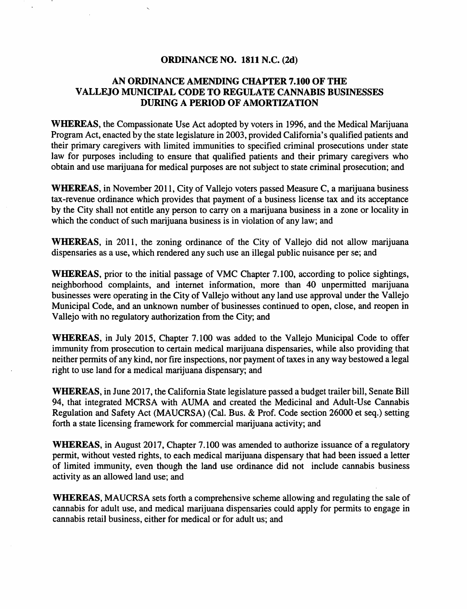#### ORDINANCE NO. 1811 N.C. (2d)

#### AN ORDINANCE AMENDING CHAPTER 7.100 OF THE VALLEJO MUNICIPAL CODE TO REGULATE CANNABIS BUSINESSES DURING A PERIOD OF AMORTIZATION

WHEREAS, the Compassionate Use Act adopted by voters in 1996, and the Medical Marijuana Program Act, enacted by the state legislature in 2003, provided California's qualified patients and their primary caregivers with limited immunities to specified criminal prosecutions under state law for purposes including to ensure that qualified patients and their primary caregivers who obtain and use marijuana for medical purposes are not subject to state criminal prosecution; and

WHEREAS, in November 2011, City of Vallejo voters passed Measure C, a marijuana business tax-revenue ordinance which provides that payment of a business license tax and its acceptance by the City shall not entitle any person to carry on a marijuana business in a zone or locality in which the conduct of such marijuana business is in violation of any law; and

WHEREAS, in 2011, the zoning ordinance of the City of Vallejo did not allow marijuana dispensaries as a use, which rendered any such use an illegal public nuisance per se; and

WHEREAS, prior to the initial passage of VMC Chapter 7.100, according to police sightings, neighborhood complaints, and internet information, more than 40 unpermitted marijuana businesses were operating in the City of Vallejo without any land use approval under the Vallejo Municipal Code, and an unknown number of businesses continued to open, close, and reopen in Vallejo with no regulatory authorization from the City; and

WHEREAS, in July 2015, Chapter 7.100 was added to the Vallejo Municipal Code to offer immunity from prosecution to certain medical marijuana dispensaries, while also providing that neither permits of any kind, nor fire inspections, nor payment of taxes in any way bestowed a legal right to use land for a medical marijuana dispensary; and

WHEREAS, in June 2017, the California State legislature passed a budget trailer bill, Senate Bill 94, that integrated MCRSA with AUMA and created the Medicinal and Adult-Use Cannabis Regulation and Safety Act (MAUCRSA) (Cal. Bus. & Prof. Code section 26000 et seq.) setting forth a state licensing framework for commercial marijuana activity; and

WHEREAS, in August 2017, Chapter 7.100 was amended to authorize issuance of a regulatory permit, without vested rights, to each medical marijuana dispensary that had been issued a letter of limited immunity, even though the land use ordinance did not include cannabis business activity as an allowed land use; and

WHEREAS, MAUCRSA sets forth a comprehensive scheme allowing and regulating the sale of cannabis for adult use, and medical marijuana dispensaries could apply for permits to engage in cannabis retail business, either for medical or for adult us; and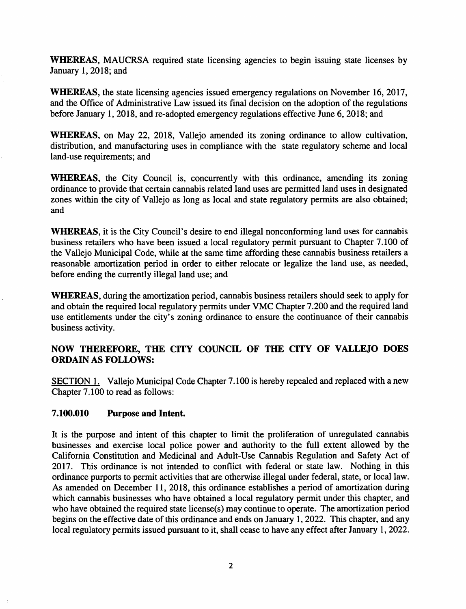WHEREAS, MAUCRSA required state licensing agencies to begin issuing state licenses by January 1, 2018; and

WHEREAS, the state licensing agencies issued emergency regulations on November 16, 2017, and the Office of Administrative Law issued its final decision on the adoption of the regulations before January 1, 2018, and re-adopted emergency regulations effective June 6, 2018; and

WHEREAS, on May 22, 2018, Vallejo amended its zoning ordinance to allow cultivation, distribution, and manufacturing uses in compliance with the state regulatory scheme and local land-use requirements; and

WHEREAS, the City Council is, concurrently with this ordinance, amending its zoning ordinance to provide that certain cannabis related land uses are permitted land uses in designated zones within the city of Vallejo as long as local and state regulatory permits are also obtained; and

WHEREAS, it is the City Council's desire to end illegal nonconforming land uses for cannabis business retailers who have been issued a local regulatory permit pursuant to Chapter 7 .100 of the Vallejo Municipal Code, while at the same time affording these cannabis business retailers a reasonable amortization period in order to either relocate or legalize the land use, as needed, before ending the currently illegal land use; and

WHEREAS, during the amortization period, cannabis business retailers should seek to apply for and obtain the required local regulatory permits under VMC Chapter 7 .200 and the required land use entitlements under the city's zoning ordinance to ensure the continuance of their cannabis business activity.

### NOW THEREFORE, THE CITY COUNCIL OF THE CITY OF VALLEJO DOES ORDAIN AS FOLLOWS:

SECTION 1. Vallejo Municipal Code Chapter 7.100 is hereby repealed and replaced with a new Chapter 7 .100 to read as follows:

### 7.100.010 Purpose and Intent.

It is the purpose and intent of this chapter to limit the proliferation of unregulated cannabis businesses and exercise local police power and authority to the full extent allowed by the California Constitution and Medicinal and Adult-Use Cannabis Regulation and Safety Act of 2017. This ordinance is not intended to conflict with federal or state law. Nothing in this ordinance purports to permit activities that are otherwise illegal under federal, state, or local law. As amended on December 11, 2018, this ordinance establishes a period of amortization during which cannabis businesses who have obtained a local regulatory permit under this chapter, and who have obtained the required state Iicense(s) may continue to operate. The amortization period begins on the effective date of this ordinance and ends on January 1, 2022. This chapter, and any local regulatory permits issued pursuant to it, shall cease to have any effect after January 1, 2022.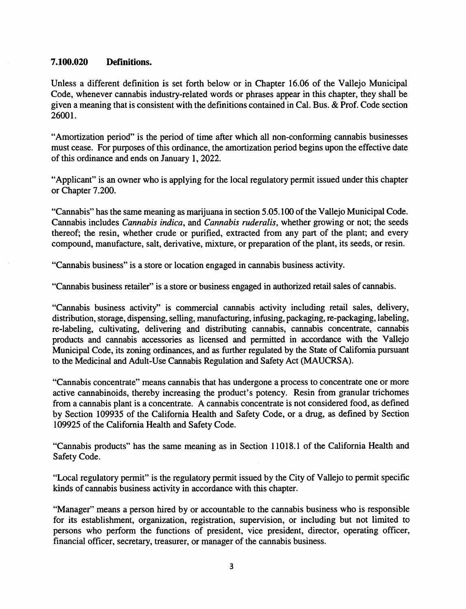#### **7.100.020 Definitions.**

Unless a different definition is set forth below or in Chapter 16.06 of the Vallejo Municipal Code, whenever cannabis industry-related words or phrases appear in this chapter, they shall be given a meaning that is consistent with the definitions contained in Cal. Bus. & Prof. Code section 26001.

"Amortization period" is the period of time after which all non-conforming cannabis businesses must cease. For purposes of this ordinance, the amortization period begins upon the effective date of this ordinance and ends on January 1, 2022.

"Applicant" is an owner who is applying for the local regulatory permit issued under this chapter or Chapter 7.200.

"Cannabis" has the same meaning as marijuana in section 5.05.100 of the Vallejo Municipal Code. Cannabis includes *Cannabis indica,* and *Cannabis ruderalis,* whether growing or not; the seeds thereof; the resin, whether crude or purified, extracted from any part of the plant; and every compound, manufacture, salt, derivative, mixture, or preparation of the plant, its seeds, or resin.

"Cannabis business" is a store or location engaged in cannabis business activity.

"Cannabis business retailer" is a store or business engaged in authorized retail sales of cannabis.

"Cannabis business activity" is commercial cannabis activity including retail sales, delivery, distribution, storage, dispensing, selling, manufacturing, infusing, packaging, re-packaging, labeling, re-labeling, cultivating, delivering and distributing cannabis, cannabis concentrate, cannabis products and cannabis accessories as licensed and permitted in accordance with the Vallejo Municipal Code, its zoning ordinances, and as further regulated by the State of California pursuant to the Medicinal and Adult-Use Cannabis Regulation and Safety Act (MAUCRSA).

"Cannabis concentrate" means cannabis that has undergone a process to concentrate one or more active cannabinoids, thereby increasing the product's potency. Resin from granular trichomes from a cannabis plant is a concentrate. A cannabis concentrate is not considered food, as defined by Section 109935 of the California Health and Safety Code, or a drug, as defined by Section 109925 of the California Health and Safety Code.

"Cannabis products" has the same meaning as in Section 11018.1 of the California Health and Safety Code.

"Local regulatory permit" is the regulatory permit issued by the City of Vallejo to permit specific kinds of cannabis business activity in accordance with this chapter.

"Manager" means a person hired by or accountable to the cannabis business who is responsible for its establishment, organization, registration, supervision, or including but not limited to persons who perform the functions of president, vice president, director, operating officer, financial officer, secretary, treasurer, or manager of the cannabis business.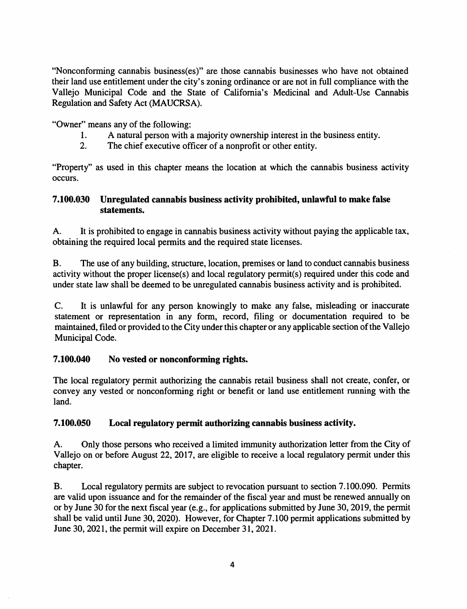"Nonconforming cannabis business(es)" are those cannabis businesses who have not obtained their land use entitlement under the city's zoning ordinance or are not in full compliance with the Vallejo Municipal Code and the State of California's Medicinal and Adult-Use Cannabis Regulation and Safety Act (MAUCRSA).

"Owner" means any of the following:

- 1. A natural person with a majority ownership interest in the business entity.
- 2. The chief executive officer of a nonprofit or other entity.

"Property" as used in this chapter means the location at which the cannabis business activity occurs.

## 7.100.030 Unregulated cannabis business activity prohibited, unlawful to make false statements.

A. It is prohibited to engage in cannabis business activity without paying the applicable tax, obtaining the required local permits and the required state licenses.

B. The use of any building, structure, location, premises or land to conduct cannabis business activity without the proper license(s) and local regulatory permit(s) required under this code and under state law shall be deemed to be unregulated cannabis business activity and is prohibited.

C. It is unlawful for any person knowingly to make any false, misleading or inaccurate statement or representation in any form, record, filing or documentation required to be maintained, filed or provided to the City under this chapter or any applicable section of the Vallejo Municipal Code.

## 7.100.040 No vested or nonconforming rights.

The local regulatory permit authorizing the cannabis retail business shall not create, confer, or convey any vested or nonconforming right or benefit or land use entitlement running with the land.

# 7.100.050 Local regulatory permit authorizing cannabis business activity.

A. Only those persons who received a limited immunity authorization letter from the City of Vallejo on or before August 22, 2017, are eligible to receive a local regulatory permit under this chapter.

B. Local regulatory permits are subject to revocation pursuant to section 7 .100.090. Permits are valid upon issuance and for the remainder of the fiscal year and must be renewed annually on or by June 30 for the next fiscal year (e.g., for applications submitted by June 30, 2019, the permit shall be valid until June 30, 2020). However, for Chapter 7 .100 permit applications submitted by June 30, 2021, the permit will expire on December 31, 2021.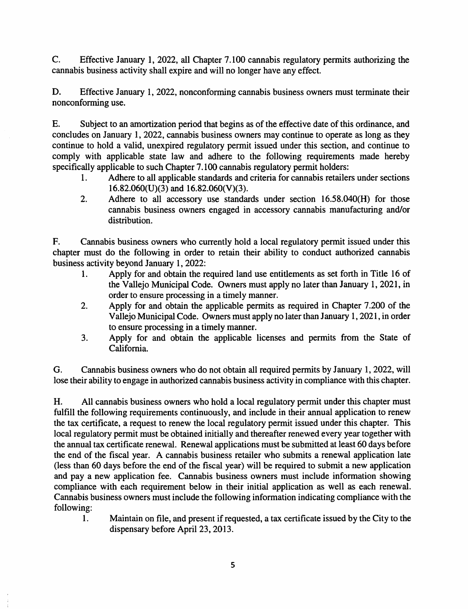C. Effective January 1, 2022, all Chapter 7.100 cannabis regulatory permits authorizing the cannabis business activity shall expire and will no longer have any effect.

D. Effective January 1, 2022, nonconforming cannabis business owners must terminate their nonconforming use.

E. Subject to an amortization period that begins as of the effective date of this ordinance, and concludes on January 1, 2022, cannabis business owners may continue to operate as long as they continue to hold a valid, unexpired regulatory permit issued under this section, and continue to comply with applicable state law and adhere to the following requirements made hereby specifically applicable to such Chapter 7.100 cannabis regulatory permit holders:

- 1. Adhere to all applicable standards and criteria for cannabis retailers under sections  $16.82.060(U)(3)$  and  $16.82.060(V)(3)$ .
- 2. Adhere to all accessory use standards under section 16.58.040(H) for those cannabis business owners engaged in accessory cannabis manufacturing and/or distribution.

F. Cannabis business owners who currently hold a local regulatory permit issued under this chapter must do the following in order to retain their ability to conduct authorized cannabis business activity beyond January 1, 2022:

- 1. Apply for and obtain the required land use entitlements as set forth in Title 16 of the Vallejo Municipal Code. Owners must apply no later than January 1, 2021, in order to ensure processing in a timely manner.
- 2. Apply for and obtain the applicable permits as required in Chapter 7.200 of the Vallejo Municipal Code. Owners must apply no later than January 1, 2021, in order to ensure processing in a timely manner.
- 3. Apply for and obtain the applicable licenses and permits from the State of California.

G. Cannabis business owners who do not obtain all required permits by January 1, 2022, will lose their ability to engage in authorized cannabis business activity in compliance with this chapter.

H. All cannabis business owners who hold a local regulatory permit under this chapter must fulfill the following requirements continuously, and include in their annual application to renew the tax certificate, a request to renew the local regulatory permit issued under this chapter. This local regulatory permit must be obtained initially and thereafter renewed every year together with the annual tax certificate renewal. Renewal applications must be submitted at least 60 days before the end of the fiscal year. A cannabis business retailer who submits a renewal application late (less than 60 days before the end of the fiscal year) will be required to submit a new application and pay a new application fee. Cannabis business owners must include information showing compliance with each requirement below in their initial application as well as each renewal. Cannabis business owners must include the following information indicating compliance with the following:

1. Maintain on file, and present if requested, a tax certificate issued by the City to the dispensary before April 23, 2013.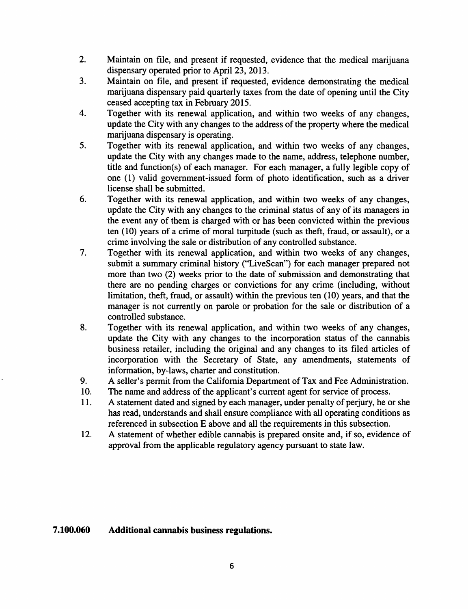- 2. Maintain on file, and present if requested, evidence that the medical marijuana dispensary operated prior to April 23, 2013.
- 3. Maintain on file, and present if requested, evidence demonstrating the medical marijuana dispensary paid quarterly taxes from the date of opening until the City ceased accepting tax in February 2015.
- 4. Together with its renewal application, and within two weeks of any changes, update the City with any changes to the address of the property where the medical marijuana dispensary is operating.
- 5. Together with its renewal application, and within two weeks of any changes, update the City with any changes made to the name, address, telephone number, title and function(s) of each manager. For each manager, a fully legible copy of one (1) valid government-issued form of photo identification, such as a driver license shall be submitted.
- 6. Together with its renewal application, and within two weeks of any changes, update the City with any changes to the criminal status of any of its managers in the event any of them is charged with or has been convicted within the previous ten (10) years of a crime of moral turpitude (such as theft, fraud, or assault), or a crime involving the sale or distribution of any controlled substance.
- 7. Together with its renewal application, and within two weeks of any changes, submit a summary criminal history ("LiveScan") for each manager prepared not more than two (2) weeks prior to the date of submission and demonstrating that there are no pending charges or convictions for any crime (including, without limitation, theft, fraud, or assault) within the previous ten (10) years, and that the manager is not currently on parole or probation for the sale or distribution of a controlled substance.
- 8. Together with its renewal application, and within two weeks of any changes, update the City with any changes to the incorporation status of the cannabis business retailer, including the original and any changes to its filed articles of incorporation with the Secretary of State, any amendments, statements of information, by-laws, charter and constitution.
- 9. A seller's permit from the California Department of Tax and Fee Administration.
- 10. The name and address of the applicant's current agent for service of process.
- 11. A statement dated and signed by each manager, under penalty of perjury, he or she has read, understands and shall ensure compliance with all operating conditions as referenced in subsection E above and all the requirements in this subsection.
- 12. A statement of whether edible cannabis is prepared onsite and, if so, evidence of approval from the applicable regulatory agency pursuant to state law.

#### **7.100.060 Additional cannabis business regulations.**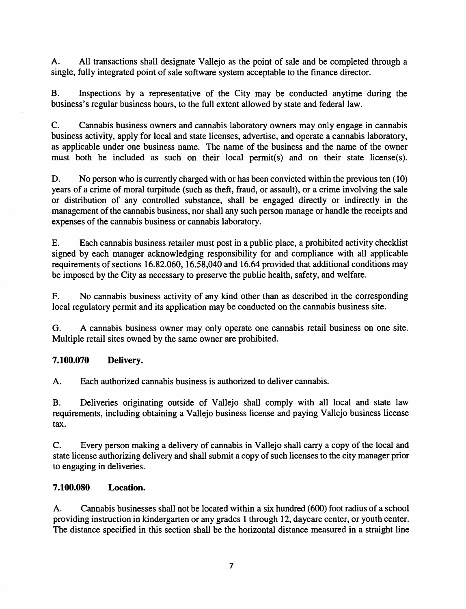A. All transactions shall designate Vallejo as the point of sale and be completed through a single, fully integrated point of sale software system acceptable to the finance director.

B. Inspections by a representative of the City may be conducted anytime during the business's regular business hours, to the full extent allowed by state and federal law.

C. Cannabis business owners and cannabis laboratory owners may only engage in cannabis business activity, apply for local and state licenses, advertise, and operate a cannabis laboratory, as applicable under one business name. The name of the business and the name of the owner must both be included as such on their local permit(s) and on their state license(s).

D. No person who is currently charged with or has been convicted within the previous ten (10) years of a crime of moral turpitude (such as theft, fraud, or assault), or a crime involving the sale or distribution of any controlled substance, shall be engaged directly or indirectly in the management of the cannabis business, nor shall any such person manage or handle the receipts and expenses of the cannabis business or cannabis laboratory.

E. Each cannabis business retailer must post in a public place, a prohibited activity checklist signed by each manager acknowledging responsibility for and compliance with all applicable requirements of sections 16.82.060, 16.58,040 and 16.64 provided that additional conditions may be imposed by the City as necessary to preserve the public health, safety, and welfare.

F. No cannabis business activity of any kind other than as described in the corresponding local regulatory permit and its application may be conducted on the cannabis business site.

G. A cannabis business owner may only operate one cannabis retail business on one site. Multiple retail sites owned by the same owner are prohibited.

### **7.100.070 Delivery.**

A. Each authorized cannabis business is authorized to deliver cannabis.

B. Deliveries originating outside of Vallejo shall comply with all local and state law requirements, including obtaining a Vallejo business license and paying Vallejo business license tax.

C. Every person making a delivery of cannabis in Vallejo shall carry a copy of the local and state license authorizing delivery and shall submit a copy of such licenses to the city manager prior to engaging in deliveries.

### **7.100.080 Location.**

A. Cannabis businesses shall not be located within a six hundred ( 600) foot radius of a school providing instruction in kindergarten or any grades I through 12, daycare center, or youth center. The distance specified in this section shall be the horizontal distance measured in a straight line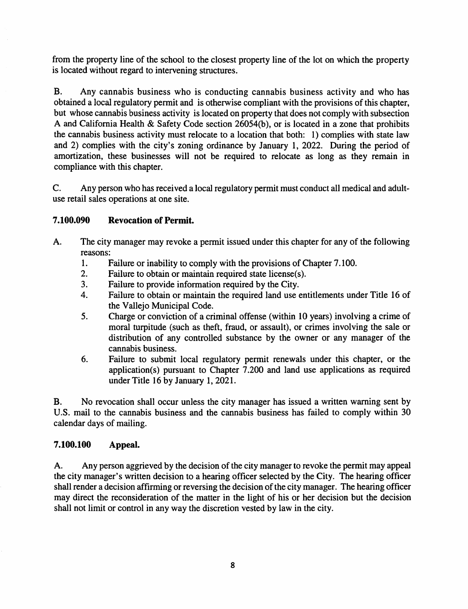from the property line of the school to the closest property line of the lot on which the property is located without regard to intervening structures.

B. Any cannabis business who is conducting cannabis business activity and who has obtained a local regulatory permit and is otherwise compliant with the provisions of this chapter, but whose cannabis business activity is located on property that does not comply with subsection A and California Health & Safety Code section  $26054(b)$ , or is located in a zone that prohibits the cannabis business activity must relocate to a location that both: 1) complies with state law and 2) complies with the city's zoning ordinance by January 1, 2022. During the period of amortization, these businesses will not be required to relocate as long as they remain in compliance with this chapter.

C. Any person who has received a local regulatory permit must conduct all medical and adultuse retail sales operations at one site.

### **7.100.090 Revocation of Permit.**

- A. The city manager may revoke a permit issued under this chapter for any of the following reasons:
	- 1. Failure or inability to comply with the provisions of Chapter 7 .100.
	- 2. Failure to obtain or maintain required state license(s).<br>3. Failure to provide information required by the City.
	- Failure to provide information required by the City.
	- 4. Failure to obtain or maintain the required land use entitlements under Title 16 of the Vallejo Municipal Code.
	- 5. Charge or conviction of a criminal offense (within 10 years) involving a crime of moral turpitude (such as theft, fraud, or assault), or crimes involving the sale or distribution of any controlled substance by the owner or any manager of the cannabis business.
	- 6. Failure to submit local regulatory permit renewals under this chapter, or the application(s) pursuant to Chapter 7.200 and land use applications as required under Title 16 by January 1, 2021.

B. No revocation shall occur unless the city manager has issued a written warning sent by U.S. mail to the cannabis business and the cannabis business has failed to comply within 30 calendar days of mailing.

### **7.100.100 Appeal.**

A. Any person aggrieved by the decision of the city manager to revoke the permit may appeal the city manager's written decision to a hearing officer selected by the City. The hearing officer shall render a decision affirming or reversing the decision of the city manager. The hearing officer may direct the reconsideration of the matter in the light of his or her decision but the decision shall not limit or control in any way the discretion vested by law in the city.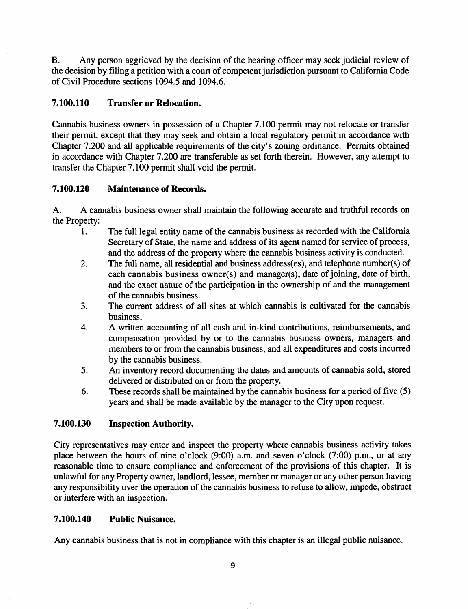B. Any person aggrieved by the decision of the hearing officer may seek judicial review of the decision by filing a petition with a court of competent jurisdiction pursuant to California Code of Civil Procedure sections 1094.5 and 1094.6.

## 7.100.110 Transfer or Relocation.

Cannabis business owners in possession of a Chapter 7 .100 permit may not relocate or transfer their permit, except that they may seek and obtain a local regulatory permit in accordance with Chapter 7 .200 and all applicable requirements of the city's zoning ordinance. Permits obtained in accordance with Chapter 7.200 are transferable as set forth therein. However, any attempt to transfer the Chapter 7 .100 permit shall void the permit.

## 7.100.120 Maintenance of Records.

A. A cannabis business owner shall maintain the following accurate and truthful records on the Property:

- 1. The full legal entity name of the cannabis business as recorded with the California Secretary of State, the name and address of its agent named for service of process, and the address of the property where the cannabis business activity is conducted.
- 2. The full name, all residential and business address(es), and telephone number(s) of each cannabis business owner(s) and manager(s), date of joining, date of birth, and the exact nature of the participation in the ownership of and the management of the cannabis business.
- 3. The current address of all sites at which cannabis is cultivated for the cannabis business.
- 4. A written accounting of all cash and in-kind contributions, reimbursements, and compensation provided by or to the cannabis business owners, managers and members to or from the cannabis business, and all expenditures and costs incurred by the cannabis business.
- 5. An inventory record documenting the dates and amounts of cannabis sold, stored delivered or distributed on or from the property.
- 6. These records shall be maintained by the cannabis business for a period of five (5) years and shall be made available by the manager to the City upon request.

#### 7.100.130 Inspection Authority.

City representatives may enter and inspect the property where cannabis business activity takes place between the hours of nine o'clock (9:00) a.m. and seven o'clock (7:00) p.m., or at any reasonable time to ensure compliance and enforcement of the provisions of this chapter. It is unlawful for any Property owner, landlord, lessee, member or manager or any other person having any responsibility over the operation of the cannabis business to refuse to allow, impede, obstruct or interfere with an inspection.

### 7.100.140 Public Nuisance.

Any cannabis business that is not in compliance with this chapter is an illegal public nuisance.

9

75.